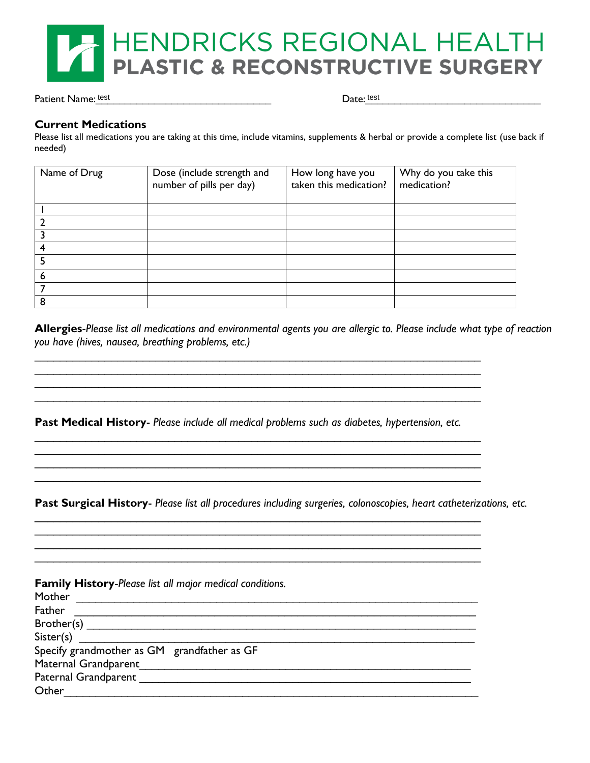

Patient Name: test

Date: test

#### **Current Medications**

Please list all medications you are taking at this time, include vitamins, supplements & herbal or provide a complete list (use back if needed)

| Name of Drug | Dose (include strength and<br>number of pills per day) | How long have you<br>taken this medication? | Why do you take this<br>medication? |
|--------------|--------------------------------------------------------|---------------------------------------------|-------------------------------------|
|              |                                                        |                                             |                                     |
|              |                                                        |                                             |                                     |
|              |                                                        |                                             |                                     |
|              |                                                        |                                             |                                     |
|              |                                                        |                                             |                                     |
| O            |                                                        |                                             |                                     |
|              |                                                        |                                             |                                     |
| 8            |                                                        |                                             |                                     |

**Allergies**-*Please list all medications and environmental agents you are allergic to. Please include what type of reaction you have (hives, nausea, breathing problems, etc.)*

**Past Medical History**- *Please include all medical problems such as diabetes, hypertension, etc.*

\_\_\_\_\_\_\_\_\_\_\_\_\_\_\_\_\_\_\_\_\_\_\_\_\_\_\_\_\_\_\_\_\_\_\_\_\_\_\_\_\_\_\_\_\_\_\_\_\_\_\_\_\_\_\_\_\_\_\_\_\_\_\_\_\_\_\_\_\_\_ \_\_\_\_\_\_\_\_\_\_\_\_\_\_\_\_\_\_\_\_\_\_\_\_\_\_\_\_\_\_\_\_\_\_\_\_\_\_\_\_\_\_\_\_\_\_\_\_\_\_\_\_\_\_\_\_\_\_\_\_\_\_\_\_\_\_\_\_\_\_ \_\_\_\_\_\_\_\_\_\_\_\_\_\_\_\_\_\_\_\_\_\_\_\_\_\_\_\_\_\_\_\_\_\_\_\_\_\_\_\_\_\_\_\_\_\_\_\_\_\_\_\_\_\_\_\_\_\_\_\_\_\_\_\_\_\_\_\_\_\_

 $\mathcal{L}_\mathcal{L} = \{ \mathcal{L}_\mathcal{L} = \{ \mathcal{L}_\mathcal{L} = \{ \mathcal{L}_\mathcal{L} = \{ \mathcal{L}_\mathcal{L} = \{ \mathcal{L}_\mathcal{L} = \{ \mathcal{L}_\mathcal{L} = \{ \mathcal{L}_\mathcal{L} = \{ \mathcal{L}_\mathcal{L} = \{ \mathcal{L}_\mathcal{L} = \{ \mathcal{L}_\mathcal{L} = \{ \mathcal{L}_\mathcal{L} = \{ \mathcal{L}_\mathcal{L} = \{ \mathcal{L}_\mathcal{L} = \{ \mathcal{L}_\mathcal{$ \_\_\_\_\_\_\_\_\_\_\_\_\_\_\_\_\_\_\_\_\_\_\_\_\_\_\_\_\_\_\_\_\_\_\_\_\_\_\_\_\_\_\_\_\_\_\_\_\_\_\_\_\_\_\_\_\_\_\_\_\_\_\_\_\_\_\_\_\_\_ \_\_\_\_\_\_\_\_\_\_\_\_\_\_\_\_\_\_\_\_\_\_\_\_\_\_\_\_\_\_\_\_\_\_\_\_\_\_\_\_\_\_\_\_\_\_\_\_\_\_\_\_\_\_\_\_\_\_\_\_\_\_\_\_\_\_\_\_\_\_ \_\_\_\_\_\_\_\_\_\_\_\_\_\_\_\_\_\_\_\_\_\_\_\_\_\_\_\_\_\_\_\_\_\_\_\_\_\_\_\_\_\_\_\_\_\_\_\_\_\_\_\_\_\_\_\_\_\_\_\_\_\_\_\_\_\_\_\_\_\_

\_\_\_\_\_\_\_\_\_\_\_\_\_\_\_\_\_\_\_\_\_\_\_\_\_\_\_\_\_\_\_\_\_\_\_\_\_\_\_\_\_\_\_\_\_\_\_\_\_\_\_\_\_\_\_\_\_\_\_\_\_\_\_\_\_\_\_\_\_\_ \_\_\_\_\_\_\_\_\_\_\_\_\_\_\_\_\_\_\_\_\_\_\_\_\_\_\_\_\_\_\_\_\_\_\_\_\_\_\_\_\_\_\_\_\_\_\_\_\_\_\_\_\_\_\_\_\_\_\_\_\_\_\_\_\_\_\_\_\_\_ \_\_\_\_\_\_\_\_\_\_\_\_\_\_\_\_\_\_\_\_\_\_\_\_\_\_\_\_\_\_\_\_\_\_\_\_\_\_\_\_\_\_\_\_\_\_\_\_\_\_\_\_\_\_\_\_\_\_\_\_\_\_\_\_\_\_\_\_\_\_ \_\_\_\_\_\_\_\_\_\_\_\_\_\_\_\_\_\_\_\_\_\_\_\_\_\_\_\_\_\_\_\_\_\_\_\_\_\_\_\_\_\_\_\_\_\_\_\_\_\_\_\_\_\_\_\_\_\_\_\_\_\_\_\_\_\_\_\_\_\_

**Past Surgical History**- *Please list all procedures including surgeries, colonoscopies, heart catheterizations, etc.*

| <b>Family History-Please list all major medical conditions.</b> |
|-----------------------------------------------------------------|
| <b>Mother</b>                                                   |
| Father                                                          |
| Brother(s)                                                      |
| Sister(s)                                                       |
| Specify grandmother as GM grandfather as GF                     |
| Maternal Grandparent                                            |
| Paternal Grandparent                                            |
| Other                                                           |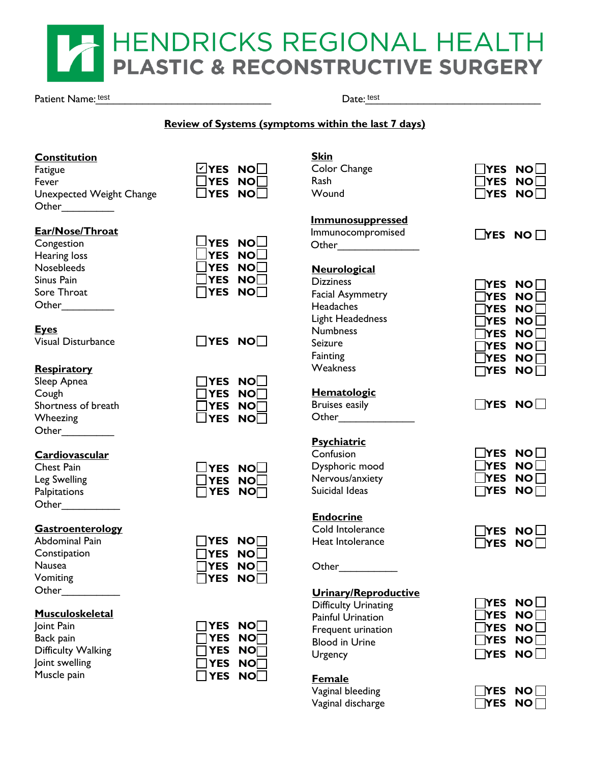# HENDRICKS REGIONAL HEAL PLASTIC & RECONSTRUCTIVE SURGERY

Patient Name: test

Date: test

# **Review of Systems (symptoms within the last 7 days)**

# **Constitution**

**Fatigue Fever Unexpected Weight Change** Other\_\_\_\_\_\_\_\_\_

| ☑YES        | NO⊡                  |
|-------------|----------------------|
| $\neg$ YES  | $\mathsf{NO}\square$ |
| <b>TYES</b> | NO⊟                  |

# **Ear/Nose/Throat**

| Congestion   | LIYES NO      |  |
|--------------|---------------|--|
| Hearing loss | $\Box$ YES NO |  |
| Nosebleeds   | $\Box$ YES NO |  |
| Sinus Pain   | $\Box$ YES NO |  |
| Sore Throat  | $\Box$ YES NO |  |
| Other        |               |  |

| Congestion        | $\Box$ YES NO $\Box$ |  |
|-------------------|----------------------|--|
| Hearing loss      | $\Box$ YES NO $\Box$ |  |
| <b>Nosebleeds</b> | $\Box$ YES NO $\Box$ |  |
| Sinus Pain        | $\Box$ YES NO $\Box$ |  |
| Sore Throat       | $\Box$ YES NO $\Box$ |  |
|                   |                      |  |

# **Eyes**

Visual Disturbance **YES NO**

# **Respiratory**

| Sleep Apnea         | $\Box$ YES NO    |  |
|---------------------|------------------|--|
| Cough               | $\Box$ YES NO    |  |
| Shortness of breath | $\Box$ YES NO    |  |
| Wheezing            | $\square$ YES NO |  |
| Other               |                  |  |

| <b>TYES</b> | NO⊡                  |
|-------------|----------------------|
| 1YES        | $\mathsf{NO}\square$ |
| ∃YES        | $\mathsf{NO}\square$ |
| <b>YES</b>  | NO⊟                  |
|             |                      |

|  |                             |  | Cardiovascular |  |
|--|-----------------------------|--|----------------|--|
|  | $\sim$ $\sim$ $\sim$ $\sim$ |  |                |  |

| Criest Fall  |  |
|--------------|--|
| Leg Swelling |  |
| Palpitations |  |
| Other        |  |
|              |  |

# $\Box$ YES NO $\Box$ YES NO **YES NO**

### **Gastroenterology**

Abdominal Pain<br>
Constipation<br>
Nausea<br>
Vomiting<br>
T **Constipation Nausea Vomiting**  $Other$ 

| <b>TYES</b> | NOI |
|-------------|-----|
| <b>TYES</b> | NO厂 |
| ⅂YES        | NOL |
| <b>IYES</b> | NO厂 |

### **Musculoskeletal**

Joint Pain **Solut Pain**<br>
Back pain<br>
Difficulty Walking<br>
Joint swelling<br>
Muscle pain **Difficulty Walking** Joint swelling **Muscle pain** 

| $\mathsf{T}$ YES | NO $\Box$            |
|------------------|----------------------|
| $\sf{T}$ YES     | $\mathsf{NO} \Box$   |
| $\mathsf{T}$ YES | $\mathsf{NO}\square$ |
| ∃YES             | NO∏                  |
| <b>IYES</b>      | NO⊟                  |

| <u>Skin</u>                 |                         |
|-----------------------------|-------------------------|
| Color Change                | <b>NO</b><br>YES.       |
| Rash                        | YES.<br><b>NO</b>       |
| Wound                       | NO  <br>YES.            |
| <u>Immunosuppressed</u>     |                         |
| Immunocompromised           | $\Box$ YES<br>NO        |
| Other                       |                         |
| <b>Neurological</b>         |                         |
| <b>Dizziness</b>            | NO I<br>YES.            |
| <b>Facial Asymmetry</b>     | <b>NO</b><br>YES.       |
| Headaches                   | YES l<br>NO I           |
| Light Headedness            | YES<br><b>NO</b>        |
| <b>Numbness</b>             | YES<br>NO I             |
| Seizure                     | YES<br>NO I             |
| Fainting                    | YES<br>NO I             |
| Weakness                    | NO<br><b>YES</b>        |
| <b>Hematologic</b>          |                         |
| <b>Bruises easily</b>       | <b>YES</b><br><b>NO</b> |
| Other                       |                         |
| <b>Psychiatric</b>          |                         |
| Confusion                   | <b>YES</b><br><b>NO</b> |
| Dysphoric mood              | <b>NO</b><br>YES        |
| Nervous/anxiety             | <b>NO</b><br>YES        |
| Suicidal Ideas              | YES<br>NO               |
| <u>Endocrine</u>            |                         |
| Cold Intolerance            | <b>NO</b><br>YES.       |
| <b>Heat Intolerance</b>     | <b>/ES</b><br><b>NO</b> |
| Other                       |                         |
| Urinary/Reproductive        |                         |
| <b>Difficulty Urinating</b> | <b>NO</b><br>YES        |
| <b>Painful Urination</b>    | YES<br><b>NO</b>        |
| Frequent urination          | <b>NO</b><br>YES        |
| <b>Blood in Urine</b>       | <b>NO</b><br>YES        |
| Urgency                     | <b>NO</b><br><b>YES</b> |
|                             |                         |

# **Female**

Vaginal bleeding **Vaginal discharge** 

| IIYES NOII<br>$\Box$ YES NO $\Box$ |
|------------------------------------|
| $\lfloor$ YES NO $\sqcap$          |
|                                    |

| $\Box$ YES NO $\Box$ |  |
|----------------------|--|
| $\Box$ YES NO $\Box$ |  |